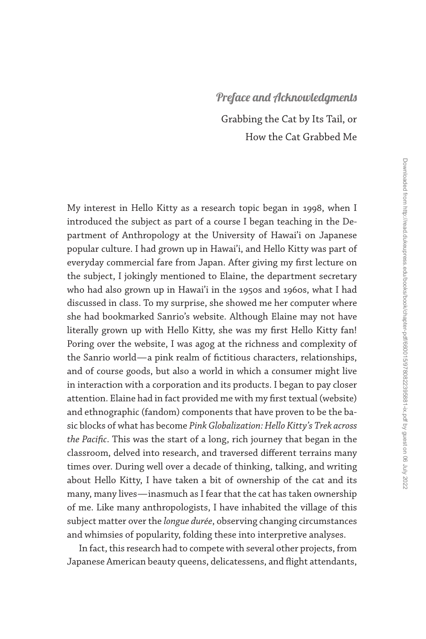## Preface and Acknowledgments

Grabbing the Cat by Its Tail, or How the Cat Grabbed Me

My interest in Hello Kitty as a research topic began in 1998, when I introduced the subject as part of a course I began teaching in the Department of Anthropology at the University of Hawai'i on Japanese popular culture. I had grown up in Hawai'i, and Hello Kitty was part of everyday commercial fare from Japan. After giving my first lecture on the subject, I jokingly mentioned to Elaine, the department secretary who had also grown up in Hawai'i in the 1950s and 1960s, what I had discussed in class. To my surprise, she showed me her computer where she had bookmarked Sanrio's website. Although Elaine may not have literally grown up with Hello Kitty, she was my first Hello Kitty fan! Poring over the website, I was agog at the richness and complexity of the Sanrio world—a pink realm of fictitious characters, relationships, and of course goods, but also a world in which a consumer might live in interaction with a corporation and its products. I began to pay closer attention. Elaine had in fact provided me with my first textual (website) and ethnographic (fandom) components that have proven to be the basic blocks of what has become *Pink Globalization: Hello Kitty's Trek across the Pacific*. This was the start of a long, rich journey that began in the classroom, delved into research, and traversed different terrains many times over. During well over a decade of thinking, talking, and writing about Hello Kitty, I have taken a bit of ownership of the cat and its many, many lives—inasmuch as I fear that the cat has taken ownership of me. Like many anthropologists, I have inhabited the village of this subject matter over the *longue durée*, observing changing circumstances and whimsies of popularity, folding these into interpretive analyses.

In fact, this research had to compete with several other projects, from Japanese American beauty queens, delicatessens, and flight attendants,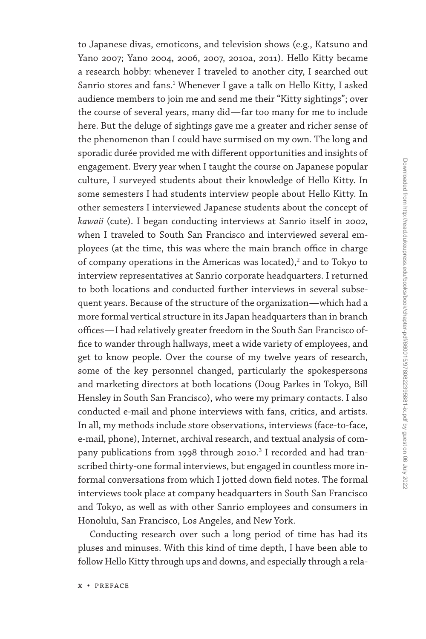to Japanese divas, emoticons, and television shows (e.g., Katsuno and Yano 2007; Yano 2004, 2006, 2007, 2010a, 2011). Hello Kitty became a research hobby: whenever I traveled to another city, I searched out Sanrio stores and fans.<sup>1</sup> Whenever I gave a talk on Hello Kitty, I asked audience members to join me and send me their "Kitty sightings"; over the course of several years, many did—far too many for me to include here. But the deluge of sightings gave me a greater and richer sense of the phenomenon than I could have surmised on my own. The long and sporadic durée provided me with different opportunities and insights of engagement. Every year when I taught the course on Japanese popular culture, I surveyed students about their knowledge of Hello Kitty. In some semesters I had students interview people about Hello Kitty. In other semesters I interviewed Japanese students about the concept of *kawaii* (cute). I began conducting interviews at Sanrio itself in 2002, when I traveled to South San Francisco and interviewed several employees (at the time, this was where the main branch office in charge of company operations in the Americas was located), $2$  and to Tokyo to interview representatives at Sanrio corporate headquarters. I returned to both locations and conducted further interviews in several subsequent years. Because of the structure of the organization—which had a more formal vertical structure in its Japan headquarters than in branch offices—I had relatively greater freedom in the South San Francisco office to wander through hallways, meet a wide variety of employees, and get to know people. Over the course of my twelve years of research, some of the key personnel changed, particularly the spokespersons and marketing directors at both locations (Doug Parkes in Tokyo, Bill Hensley in South San Francisco), who were my primary contacts. I also conducted e-mail and phone interviews with fans, critics, and artists. In all, my methods include store observations, interviews (face-to-face, e-mail, phone), Internet, archival research, and textual analysis of company publications from 1998 through 2010. $^3$  I recorded and had transcribed thirty-one formal interviews, but engaged in countless more informal conversations from which I jotted down field notes. The formal interviews took place at company headquarters in South San Francisco and Tokyo, as well as with other Sanrio employees and consumers in Honolulu, San Francisco, Los Angeles, and New York.

Conducting research over such a long period of time has had its pluses and minuses. With this kind of time depth, I have been able to follow Hello Kitty through ups and downs, and especially through a rela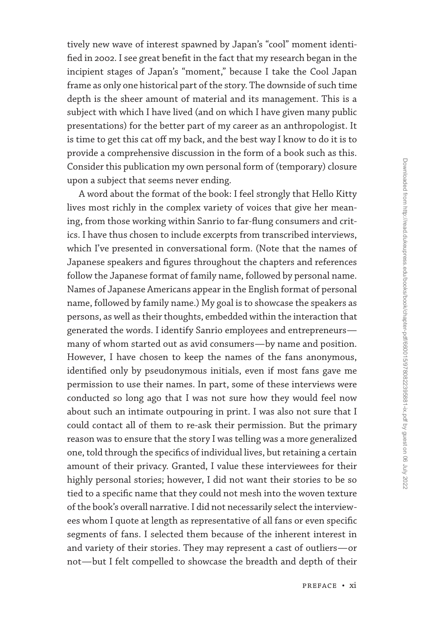tively new wave of interest spawned by Japan's "cool" moment identified in 2002. I see great benefit in the fact that my research began in the incipient stages of Japan's "moment," because I take the Cool Japan frame as only one historical part of the story. The downside of such time depth is the sheer amount of material and its management. This is a subject with which I have lived (and on which I have given many public presentations) for the better part of my career as an anthropologist. It is time to get this cat off my back, and the best way I know to do it is to provide a comprehensive discussion in the form of a book such as this. Consider this publication my own personal form of (temporary) closure upon a subject that seems never ending.

A word about the format of the book: I feel strongly that Hello Kitty lives most richly in the complex variety of voices that give her meaning, from those working within Sanrio to far-flung consumers and critics. I have thus chosen to include excerpts from transcribed interviews, which I've presented in conversational form. (Note that the names of Japanese speakers and figures throughout the chapters and references follow the Japanese format of family name, followed by personal name. Names of Japanese Americans appear in the English format of personal name, followed by family name.) My goal is to showcase the speakers as persons, as well as their thoughts, embedded within the interaction that generated the words. I identify Sanrio employees and entrepreneurs many of whom started out as avid consumers—by name and position. However, I have chosen to keep the names of the fans anonymous, identified only by pseudonymous initials, even if most fans gave me permission to use their names. In part, some of these interviews were conducted so long ago that I was not sure how they would feel now about such an intimate outpouring in print. I was also not sure that I could contact all of them to re-ask their permission. But the primary reason was to ensure that the story I was telling was a more generalized one, told through the specifics of individual lives, but retaining a certain amount of their privacy. Granted, I value these interviewees for their highly personal stories; however, I did not want their stories to be so tied to a specific name that they could not mesh into the woven texture of the book's overall narrative. I did not necessarily select the interviewees whom I quote at length as representative of all fans or even specific segments of fans. I selected them because of the inherent interest in and variety of their stories. They may represent a cast of outliers—or not—but I felt compelled to showcase the breadth and depth of their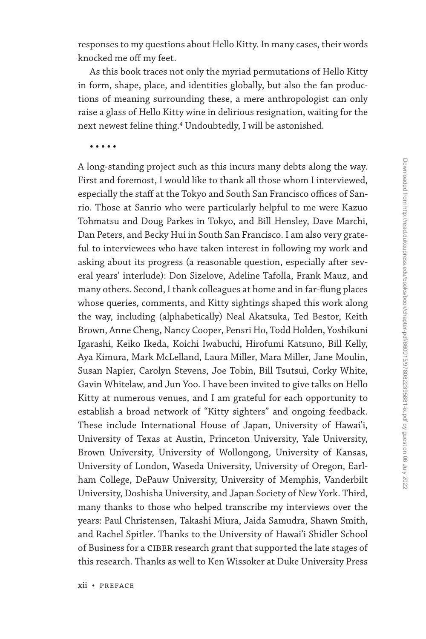responses to my questions about Hello Kitty. In many cases, their words knocked me off my feet.

As this book traces not only the myriad permutations of Hello Kitty in form, shape, place, and identities globally, but also the fan productions of meaning surrounding these, a mere anthropologist can only raise a glass of Hello Kitty wine in delirious resignation, waiting for the next newest feline thing.4 Undoubtedly, I will be astonished.

**•••••**

A long-standing project such as this incurs many debts along the way. First and foremost, I would like to thank all those whom I interviewed, especially the staff at the Tokyo and South San Francisco offices of Sanrio. Those at Sanrio who were particularly helpful to me were Kazuo Tohmatsu and Doug Parkes in Tokyo, and Bill Hensley, Dave Marchi, Dan Peters, and Becky Hui in South San Francisco. I am also very grateful to interviewees who have taken interest in following my work and asking about its progress (a reasonable question, especially after several years' interlude): Don Sizelove, Adeline Tafolla, Frank Mauz, and many others. Second, I thank colleagues at home and in far-flung places whose queries, comments, and Kitty sightings shaped this work along the way, including (alphabetically) Neal Akatsuka, Ted Bestor, Keith Brown, Anne Cheng, Nancy Cooper, Pensri Ho, Todd Holden, Yoshikuni Igarashi, Keiko Ikeda, Koichi Iwabuchi, Hirofumi Katsuno, Bill Kelly, Aya Kimura, Mark McLelland, Laura Miller, Mara Miller, Jane Moulin, Susan Napier, Carolyn Stevens, Joe Tobin, Bill Tsutsui, Corky White, Gavin Whitelaw, and Jun Yoo. I have been invited to give talks on Hello Kitty at numerous venues, and I am grateful for each opportunity to establish a broad network of "Kitty sighters" and ongoing feedback. These include International House of Japan, University of Hawai'i, University of Texas at Austin, Princeton University, Yale University, Brown University, University of Wollongong, University of Kansas, University of London, Waseda University, University of Oregon, Earlham College, DePauw University, University of Memphis, Vanderbilt University, Doshisha University, and Japan Society of New York. Third, many thanks to those who helped transcribe my interviews over the years: Paul Christensen, Takashi Miura, Jaida Samudra, Shawn Smith, and Rachel Spitler. Thanks to the University of Hawai'i Shidler School of Business for a CIBER research grant that supported the late stages of this research. Thanks as well to Ken Wissoker at Duke University Press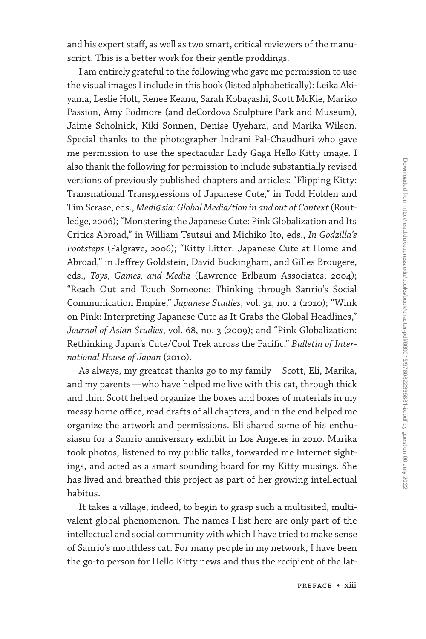and his expert staff, as well as two smart, critical reviewers of the manuscript. This is a better work for their gentle proddings.

I am entirely grateful to the following who gave me permission to use the visual images I include in this book (listed alphabetically): Leika Akiyama, Leslie Holt, Renee Keanu, Sarah Kobayashi, Scott McKie, Mariko Passion, Amy Podmore (and deCordova Sculpture Park and Museum), Jaime Scholnick, Kiki Sonnen, Denise Uyehara, and Marika Wilson. Special thanks to the photographer Indrani Pal-Chaudhuri who gave me permission to use the spectacular Lady Gaga Hello Kitty image. I also thank the following for permission to include substantially revised versions of previously published chapters and articles: "Flipping Kitty: Transnational Transgressions of Japanese Cute," in Todd Holden and Tim Scrase, eds., *Medi@sia: Global Media/tion in and out of Context* (Routledge, 2006); "Monstering the Japanese Cute: Pink Globalization and Its Critics Abroad," in William Tsutsui and Michiko Ito, eds., *In Godzilla's Footsteps* (Palgrave, 2006); "Kitty Litter: Japanese Cute at Home and Abroad," in Jeffrey Goldstein, David Buckingham, and Gilles Brougere, eds., *Toys, Games, and Media* (Lawrence Erlbaum Associates, 2004); "Reach Out and Touch Someone: Thinking through Sanrio's Social Communication Empire," *Japanese Studies*, vol. 31, no. 2 (2010); "Wink on Pink: Interpreting Japanese Cute as It Grabs the Global Headlines," *Journal of Asian Studies*, vol. 68, no. 3 (2009); and "Pink Globalization: Rethinking Japan's Cute/Cool Trek across the Pacific," *Bulletin of International House of Japan* (2010).

As always, my greatest thanks go to my family—Scott, Eli, Marika, and my parents—who have helped me live with this cat, through thick and thin. Scott helped organize the boxes and boxes of materials in my messy home office, read drafts of all chapters, and in the end helped me organize the artwork and permissions. Eli shared some of his enthusiasm for a Sanrio anniversary exhibit in Los Angeles in 2010. Marika took photos, listened to my public talks, forwarded me Internet sightings, and acted as a smart sounding board for my Kitty musings. She has lived and breathed this project as part of her growing intellectual habitus.

It takes a village, indeed, to begin to grasp such a multisited, multivalent global phenomenon. The names I list here are only part of the intellectual and social community with which I have tried to make sense of Sanrio's mouthless cat. For many people in my network, I have been the go-to person for Hello Kitty news and thus the recipient of the lat